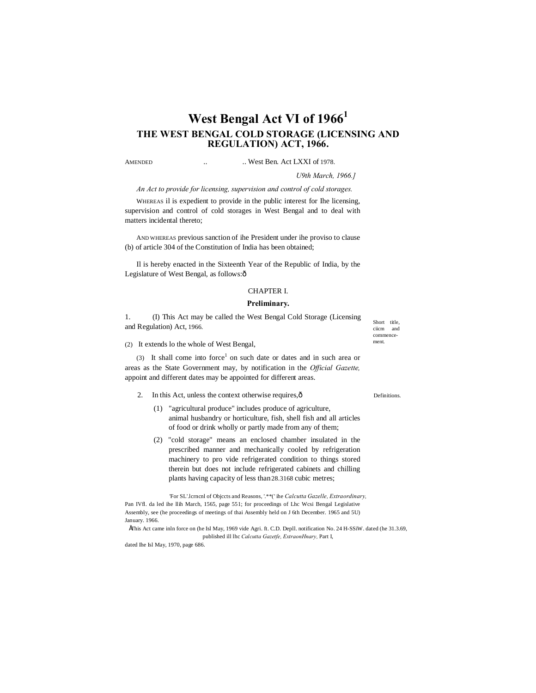# **West Bengal Act VI of 1966<sup>1</sup> THE WEST BENGAL COLD STORAGE (LICENSING AND REGULATION) ACT, 1966.**

AMENDED ... West Ben. Act LXXI of 1978.

*U9th March, 1966.]*

*An Act to provide for licensing, supervision and control of cold storages.*

WHEREAS il is expedient to provide in the public interest for Ihe licensing, supervision and control of cold storages in West Bengal and to deal with matters incidental thereto;

AND WHEREAS previous sanction of ihe President under ihe proviso to clause (b) of article 304 of the Constitution of India has been obtained;

Il is hereby enacted in the Sixteenth Year of the Republic of India, by the Legislature of West Bengal, as follows:ô

# CHAPTER I.

#### **Preliminary.**

1. (I) This Act may be called the West Bengal Cold Storage (Licensing and Regulation) Act, 1966.

(2) It extends lo the whole of West Bengal,

(3) It shall come into force<sup>1</sup> on such date or dates and in such area or areas as the State Government may, by notification in the *Official Gazette,* appoint and different dates may be appointed for different areas.

- 2. In this Act, unless the context otherwise requires, ô Definitions
	- (1) "agricultural produce" includes produce of agriculture, animal husbandry or horticulture, fish, shell fish and all articles of food or drink wholly or partly made from any of them;
	- (2) "cold storage" means an enclosed chamber insulated in the prescribed manner and mechanically cooled by refrigeration machinery to pro vide refrigerated condition to things stored therein but does not include refrigerated cabinets and chilling plants having capacity of less than28.3168 cubic metres;

'For SL'.lcrncnl of Objccts and Reasons, '.\*\*(' ihe *Calcutta Gazelle, Extraordinary,* Pan IVfl. da led ihe llih March, 1565, page 551; for proceedings of Lhc Wcsi Bengal Legislative Assembly, see (he proceedings of meetings of thai Assembly held on J 6th December. 1965 and 5U) January. 1966.

•This Act came inln force on (he Isl May, 1969 vide Agri. ft. C.D. Depll. notification No. 24 H-SSiW. dated (he 31.3.69, published ill lhc *Calcutta Gazetfe, ExtraonHnary,* Part I,

dated Ihe Isl May, 1970, page 686.

Short title ciicm and commencement.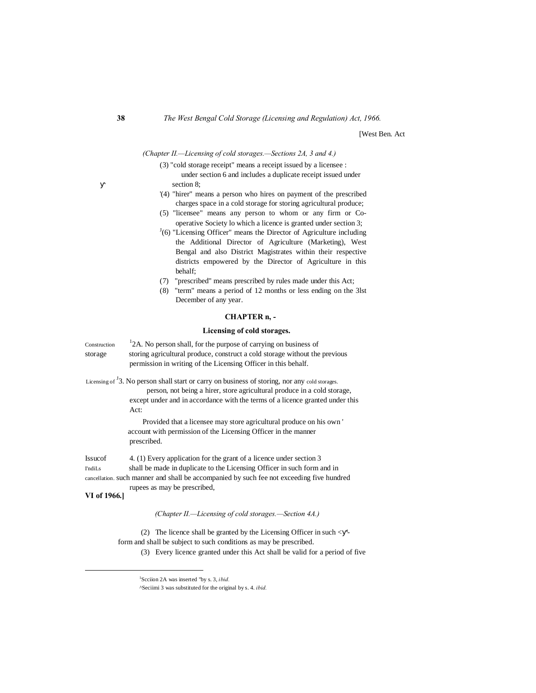[West Ben. Act

*(Chapter II.—Licensing of cold storages.—Sections 2A, 3 and 4.)*

- (3) "cold storage receipt" means a receipt issued by a licensee : under section 6 and includes a duplicate receipt issued under section 8;
- '(4) "hirer" means a person who hires on payment of the prescribed charges space in a cold storage for storing agricultural produce;
- (5) "licensee" means any person to whom or any firm or Cooperative Society lo which a licence is granted under section 3;
- $J(6)$  "Licensing Officer" means the Director of Agriculture including the Additional Director of Agriculture (Marketing), West Bengal and also District Magistrates within their respective districts empowered by the Director of Agriculture in this behalf;
- (7) "prescribed" means prescribed by rules made under this Act;
- (8) "term" means a period of 12 months or less ending on the 3lst December of any year.

# **CHAPTER n, -**

### **Licensing of cold storages.**

Construction  $12A$ . No person shall, for the purpose of carrying on business of storage storing agricultural produce, construct a cold storage without the previous permission in writing of the Licensing Officer in this behalf.

Licensing of  $\overline{3}$ . No person shall start or carry on business of storing, nor any cold storages.

person, not being a hirer, store agricultural produce in a cold storage, except under and in accordance with the terms of a licence granted under this Act:

Provided that a licensee may store agricultural produce on his own ' account with permission of the Licensing Officer in the manner prescribed.

Issucof 4. (1) Every application for the grant of a licence under section 3 I'ndiLs shall be made in duplicate to the Licensing Officer in such form and in cancellation. such manner and shall be accompanied by such fee not exceeding five hundred rupees as may be prescribed,

# **VI of 1966.]**

### *(Chapter II.—Licensing of cold storages.—Section 4A.)*

(2) The licence shall be granted by the Licensing Officer in such < ' form and shall be subject to such conditions as may be prescribed.

(3) Every licence granted under this Act shall be valid for a period of five

 <sup>1</sup> Scciion 2A was inserted "by s. 3, *ibid.*

<sup>^</sup>Seciimi 3 was substituted for the original by s. 4. *ibid.*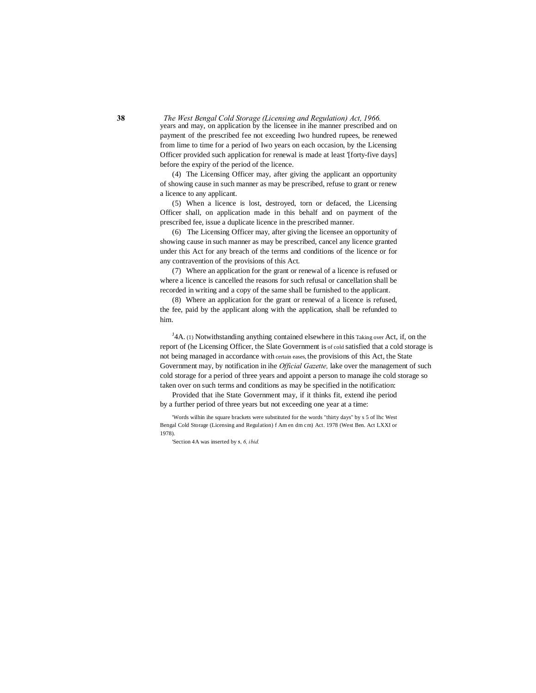years and may, on application by the licensee in ihe manner prescribed and on payment of the prescribed fee not exceeding Iwo hundred rupees, be renewed from lime to time for a period of Iwo years on each occasion, by the Licensing Officer provided such application for renewal is made at least '[forty-five days] before the expiry of the period of the licence.

(4) The Licensing Officer may, after giving the applicant an opportunity of showing cause in such manner as may be prescribed, refuse to grant or renew a licence to any applicant.

(5) When a licence is lost, destroyed, torn or defaced, the Licensing Officer shall, on application made in this behalf and on payment of the prescribed fee, issue a duplicate licence in the prescribed manner.

(6) The Licensing Officer may, after giving the licensee an opportunity of showing cause in such manner as may be prescribed, cancel any licence granted under this Act for any breach of the terms and conditions of the licence or for any contravention of the provisions of this Act.

(7) Where an application for the grant or renewal of a licence is refused or where a licence is cancelled the reasons for such refusal or cancellation shall be recorded in writing and a copy of the same shall be furnished to the applicant.

(8) Where an application for the grant or renewal of a licence is refused, the fee, paid by the applicant along with the application, shall be refunded to him.

 $J<sub>4</sub>A$ . (1) Notwithstanding anything contained elsewhere in this Taking over Act, if, on the report of (he Licensing Officer, the Slate Government is of cold satisfied that a cold storage is not being managed in accordance with certain eases, the provisions of this Act, the State Government may, by notification in ihe *Official Gazette,* lake over the management of such cold storage for a period of three years and appoint a person to manage ihe cold storage so taken over on such terms and conditions as may be specified in the notification:

Provided that ihe State Government may, if it thinks fit, extend ihe period by a further period of three years but not exceeding one year at a time:

'Words wilhin ihe square brackets were substituted for the words "thirty days" by s 5 of lhc West Bengal Cold Storage (Licensing and Regulation) f Am en dm cm) Act. 1978 (West Ben. Act LXXI or 1978).

'Section 4A was inserted by **5,** *6, ibid.*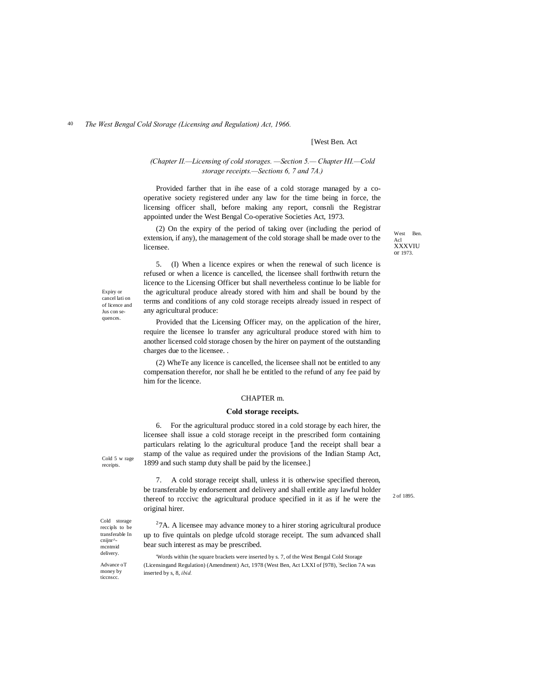# [West Ben. Act

### *(Chapter II.—Licensing of cold storages. —Section 5.— Chapter HI.—Cold storage receipts.—Sections 6, 7 and 7A.)*

Provided farther that in ihe ease of a cold storage managed by a cooperative society registered under any law for the time being in force, the licensing officer shall, before making any report, consnli the Registrar appointed under the West Bengal Co-operative Societies Act, 1973.

(2) On the expiry of the period of taking over (including the period of extension, if any), the management of the cold storage shall be made over to the licensee.

West Ben. Acl XXXVIU or 1973.

5. (I) When a licence expires or when the renewal of such licence is refused or when a licence is cancelled, the licensee shall forthwith return the licence to the Licensing Officer but shall nevertheless continue lo be liable for the agricultural produce already stored with him and shall be bound by the terms and conditions of any cold storage receipts already issued in respect of any agricultural produce:

Provided that the Licensing Officer may, on the application of the hirer, require the licensee lo transfer any agricultural produce stored with him to another licensed cold storage chosen by the hirer on payment of the outstanding charges due to the licensee. .

(2) WheTe any licence is cancelled, the licensee shall not be entitled to any compensation therefor, nor shall he be entitled to the refund of any fee paid by him for the licence.

#### CHAPTER m.

#### **Cold storage receipts.**

6. For the agricultural producc stored in a cold storage by each hirer, the licensee shall issue a cold storage receipt in the prescribed form containing particulars relating lo the agricultural produce '[and the receipt shall bear a stamp of the value as required under the provisions of the Indian Stamp Act, 1899 and such stamp duty shall be paid by the licensee.]

7. A cold storage receipt shall, unless it is otherwise specified thereon, be transferable by endorsement and delivery and shall entitle any lawful holder thereof to rcccivc the agricultural produce specified in it as if he were the original hirer.

 $27A$ . A licensee may advance money to a hirer storing agricultural produce up to five quintals on pledge ufcold storage receipt. The sum advanced shall bear such interest as may be prescribed.

'Words within (he square brackets were inserted by s. 7, of the West Bengal Cold Storage (Licensingand Regulation) (Amendment) Act, 1978 (West Ben, Act LXXI of [978), Seclion 7A was inserted by s, 8, *ibid.*

Expiry or cancel lati on of licence and Jus con sequences.

Cold 5 w rage receipts.

Cold storage reccipls to be transferable In cnijnr^ mcntmid delivery. Advance oT money by ticcnscc.

2 of 1895.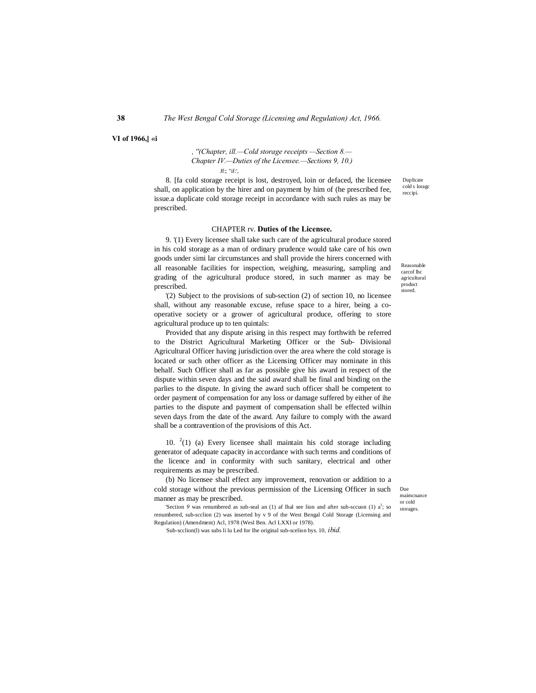**VI of 1966,] «i**

*, ''(Chapter, ill.—Cold storage receipts —Section 8.— Chapter IV.—Duties of the Licensee.—Sections 9, 10.)* Jf:; "if:',

8. [fa cold storage receipt is lost, destroyed, loin or defaced, the licensee shall, on application by the hirer and on payment by him of (he prescribed fee, issue.a duplicate cold storage receipt in accordance with such rules as may be prescribed.

#### CHAPTER rv. **Duties of the Licensee.**

9. '(1) Every licensee shall take such care of the agricultural produce stored in his cold storage as a man of ordinary prudence would take care of his own goods under simi lar circumstances and shall provide the hirers concerned with all reasonable facilities for inspection, weighing, measuring, sampling and grading of the agricultural produce stored, in such manner as may be prescribed.

'(2) Subject to the provisions of sub-section (2) of section 10, no licensee shall, without any reasonable excuse, refuse space to a hirer, being a cooperative society or a grower of agricultural produce, offering to store agricultural produce up to ten quintals:

Provided that any dispute arising in this respect may forthwith be referred to the District Agricultural Marketing Officer or the Sub- Divisional Agricultural Officer having jurisdiction over the area where the cold storage is located or such other officer as the Licensing Officer may nominate in this behalf. Such Officer shall as far as possible give his award in respect of the dispute within seven days and the said award shall be final and binding on the parlies to the dispute. In giving the award such officer shall be competent to order payment of compensation for any loss or damage suffered by either of ihe parties to the dispute and payment of compensation shall be effected wilhin seven days from the date of the award. Any failure to comply with the award shall be a contravention of the provisions of this Act.

10.  $2(1)$  (a) Every licensee shall maintain his cold storage including generator of adequate capacity in accordance with such terms and conditions of the licence and in conformity with such sanitary, electrical and other requirements as may be prescribed.

(b) No licensee shall effect any improvement, renovation or addition to a cold storage without the previous permission of the Licensing Officer in such manner as may be prescribed.

'Section  $9$  was renumbered as sub-seal an (1) af lhal see lion and after sub-sccuon (1) a<sup>1</sup>; so renumbered, sub-scclion (2) was inserted by v 9 of the West Bengal Cold Storage (Licensing and Regulation) (Amendment) Acl, 1978 (Wesl Ben. Acl LXXI or 1978).

: Sub-scclion(l) was subs li lu Led for Ihe original sub-scelion bys. 10, *ibid.*

Duplicate cold s loragc reccipi.

Reasonable carcof lhc agricultural product .<br>stored.

Due maimcnance or cold storages.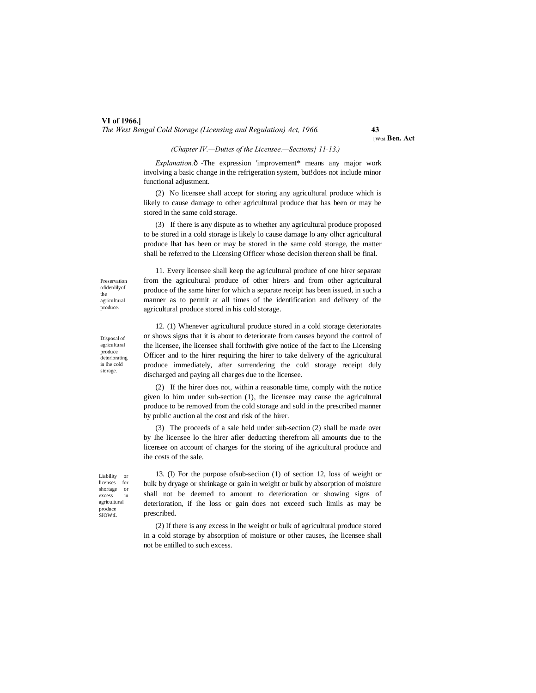[Wtst **Ben. Act**

#### *(Chapter IV.—Duties of the Licensee.—Sections} 11-13.)*

*Explanation.* $\hat{o}$  -The expression 'improvement\* means any major work involving a basic change in the refrigeration system, but!does not include minor functional adjustment.

(2) No licensee shall accept for storing any agricultural produce which is likely to cause damage to other agricultural produce that has been or may be stored in the same cold storage.

(3) If there is any dispute as to whether any agricultural produce proposed to be stored in a cold storage is likely lo cause damage lo any olhcr agricultural produce lhat has been or may be stored in the same cold storage, the matter shall be referred to the Licensing Officer whose decision thereon shall be final.

11. Every licensee shall keep the agricultural produce of one hirer separate from the agricultural produce of other hirers and from other agricultural produce of the same hirer for which a separate receipt has been issued, in such a manner as to permit at all times of the identification and delivery of the

Preservation ofidenlilyof the agricultural produce.

in ihe cold storage.

Disposal of agricultural produce deteriorating agricultural produce stored in his cold storage. 12. (1) Whenever agricultural produce stored in a cold storage deteriorates or shows signs that it is about to deteriorate from causes beyond the control of

the licensee, ihe licensee shall forthwith give notice of the fact to Ihe Licensing Officer and to the hirer requiring the hirer to take delivery of the agricultural produce immediately, after surrendering the cold storage receipt duly discharged and paying all charges due to the licensee.

(2) If the hirer does not, within a reasonable time, comply with the notice given lo him under sub-section (1), the licensee may cause the agricultural produce to be removed from the cold storage and sold in the prescribed manner by public auction al the cost and risk of the hirer.

(3) The proceeds of a sale held under sub-section (2) shall be made over by Ihe licensee lo the hirer afler deducting therefrom all amounts due to the licensee on account of charges for the storing of ihe agricultural produce and ihe costs of the sale.

Liability or licenses for shortage or excess in agricultural produce SIOWtL

13. (I) For the purpose ofsub-seciion (1) of section 12, loss of weight or bulk by dryage or shrinkage or gain in weight or bulk by absorption of moisture shall not be deemed to amount to deterioration or showing signs of deterioration, if ihe loss or gain does not exceed such limils as may be prescribed.

(2) If there is any excess in Ihe weight or bulk of agricultural produce stored in a cold storage by absorption of moisture or other causes, ihe licensee shall not be entilled to such excess.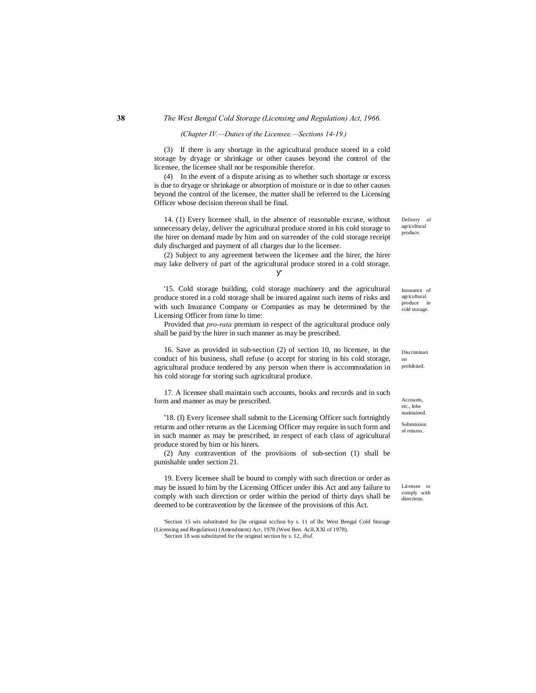#### *(Chapter IV.—Duties of the Licensee.—Sections 14-19.)*

(3) If there is any shortage in the agricultural produce stored in a cold storage by dryage or shrinkage or other causes beyond the control of the licensee, the licensee shall not be responsible therefor.

(4) In the event of a dispute arising as to whether such shortage or excess is due to dryage or shrinkage or absorption of moisture or is due to other causes beyond the control of the licensee, the matter shall be referred to the Licensing Officer whose decision thereon shall be final.

14. (1) Every licensee shall, in the absence of reasonable excuse, without unnecessary delay, deliver the agricultural produce stored in his cold storage to the hirer on demand made by him and on surrender of the cold storage receipt duly discharged and payment of all charges due lo the licensee.

(2) Subject to any agreement between the licensee and the hirer, the hirer may lake delivery of part of the agricultural produce stored in a cold storage.

'15. Cold storage building, cold storage machinery and the agricultural produce stored in a cold storage shall be insured against such items of risks and with such Insurance Company or Companies as may be determined by the Licensing Officer from time lo time:

Provided that *pro-rata* premium in respect of the agricultural produce only shall be paid by the hirer in such manner as may be prescribed.

16. Save as provided in sub-section (2) of section 10, no licensee, in the conduct of his business, shall refuse (o accept for storing in his cold storage, agricultural produce tendered by any person when there is accommodation in his cold storage for storing such agricultural produce.

17. A licensee shall maintain such accounts, books and records and in such form and manner as may be prescribed.

s 18. (I) Every licensee shall submit to the Licensing Officer such fortnightly returns and other returns as the Licensing Officer may require in such form and in such manner as may be prescribed, in respect of each class of agricultural produce stored by him or his hirers.

(2) Any contravention of the provisions of sub-section (1) shall be punishable under section 21.

19. Every licensee shall be bound to comply with such direction or order as may be issued lo him by the Licensing Officer under ihis Act and any failure to comply with such direction or order within the period of thirty days shall be deemed to be contravention by the licensee of the provisions of this Act.

'Section 15 wis substituted for [he original scclion by s. 11 of lhc West Bengal Cold Storage (Licensing and Regulation) (Amendment) Act, 1978 (West Ben. AclLXXl of 1978). 'Section 18 was substituted for the original section by s. 12, *ibid.*

Delivery of agricultural produce.

Insurance of agricultural produce in .<br>cold storage.

Discriminati on prohibited.

Accounts, etc., lobe maintained.

Submission of returns.

Licensee to comply with directions.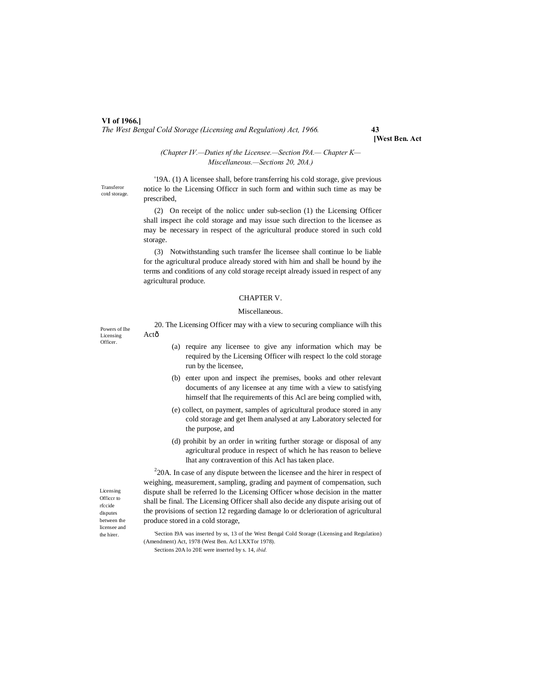**[West Ben. Act**

*(Chapter IV.—Duties nf the Licensee.—Section I9A.— Chapter K— Miscellaneous.—Sections 20, 20A.)*

Transferor cotd storage.

'19A. (1) A licensee shall, before transferring his cold storage, give previous notice lo the Licensing Officcr in such form and within such time as may be prescribed,

(2) On receipt of the nolicc under sub-seclion (1) the Licensing Officer shall inspect ihe cold storage and may issue such direction to the licensee as may be necessary in respect of the agricultural produce stored in such cold storage.

(3) Notwithstanding such transfer Ihe licensee shall continue lo be liable for the agricultural produce already stored with him and shall be hound by ihe terms and conditions of any cold storage receipt already issued in respect of any agricultural produce.

#### CHAPTER V.

#### Miscellaneous.

Powers of Ihe Licensing **Officer** 

20. The Licensing Officer may with a view to securing compliance wilh this Actô

- (a) require any licensee to give any information which may be required by the Licensing Officer wilh respect lo the cold storage run by the licensee,
- (b) enter upon and inspect ihe premises, books and other relevant documents of any licensee at any time with a view to satisfying himself that Ihe requirements of this Acl are being complied with,
- (e) collect, on payment, samples of agricultural produce stored in any cold storage and get Ihem analysed at any Laboratory selected for the purpose, and
- (d) prohibit by an order in writing further storage or disposal of any agricultural produce in respect of which he has reason to believe lhat any contravention of this Acl has taken place.

 $220A$ . In case of any dispute between the licensee and the hirer in respect of weighing, measurement, sampling, grading and payment of compensation, such dispute shall be referred lo the Licensing Officer whose decision in the matter shall be final. The Licensing Officer shall also decide any dispute arising out of the provisions of section 12 regarding damage lo or dclerioration of agricultural produce stored in a cold storage,

Licensing Officcr to rfccide disputes between the licensee and the hirer.

'Section I9A was inserted by ss, 13 of the West Bengal Cold Storage (Licensing and Regulation) (Amendment) Act, 1978 (West Ben. Acl LXXTor 1978).

Sections 20A lo 20E were inserted by s. 14, *ibid.*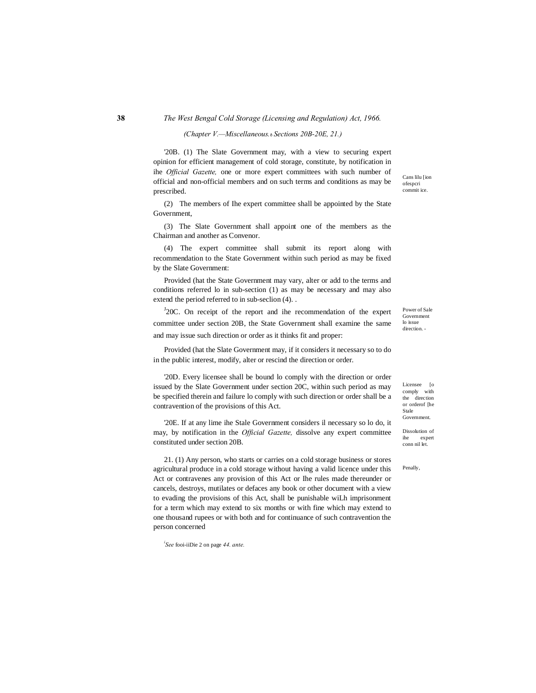#### *(Chapter V.—Miscellaneous.*—*Sections 20B-20E, 21.)*

'20B. (1) The Slate Government may, with a view to securing expert opinion for efficient management of cold storage, constitute, by notification in ihe *Official Gazette,* one or more expert committees with such number of official and non-official members and on such terms and conditions as may be prescribed.

(2) The members of Ihe expert committee shall be appointed by the State Government,

(3) The Slate Government shall appoint one of the members as the Chairman and another as Convenor.

(4) The expert committee shall submit its report along with recommendation to the State Government within such period as may be fixed by the Slate Government:

Provided (hat the State Government may vary, alter or add to the terms and conditions referred lo in sub-section (1) as may be necessary and may also extend the period referred to in sub-seclion (4). .

 $J20C$ . On receipt of the report and ihe recommendation of the expert committee under section 20B, the State Government shall examine the same and may issue such direction or order as it thinks fit and proper:

Provided (hat the Slate Government may, if it considers it necessary so to do in the public interest, modify, alter or rescind the direction or order.

'20D. Every licensee shall be bound lo comply with the direction or order issued by the Slate Government under section 20C, within such period as may be specified therein and failure lo comply with such direction or order shall be a contravention of the provisions of this Act.

'20E. If at any lime ihe Stale Government considers il necessary so lo do, it may, by notification in the *Official Gazette,* dissolve any expert committee constituted under section 20B.

21. (1) Any person, who starts or carries on a cold storage business or stores agricultural produce in a cold storage without having a valid licence under this Act or contravenes any provision of this Act or Ihe rules made thereunder or cancels, destroys, mutilates or defaces any book or other document with a view to evading the provisions of this Act, shall be punishable wiLh imprisonment for a term which may extend to six months or with fine which may extend to one thousand rupees or with both and for continuance of such contravention the person concerned

*i See* fooi-iiDie 2 on page *44. ante.*

Cans lilu [ion ofespcri commit ice.

Power of Sale Government lo issue direction. -

Licensee [o comply with the direction or orderof [he Stale Government.

Dissolution of ihe expert conn nil let.

Penally,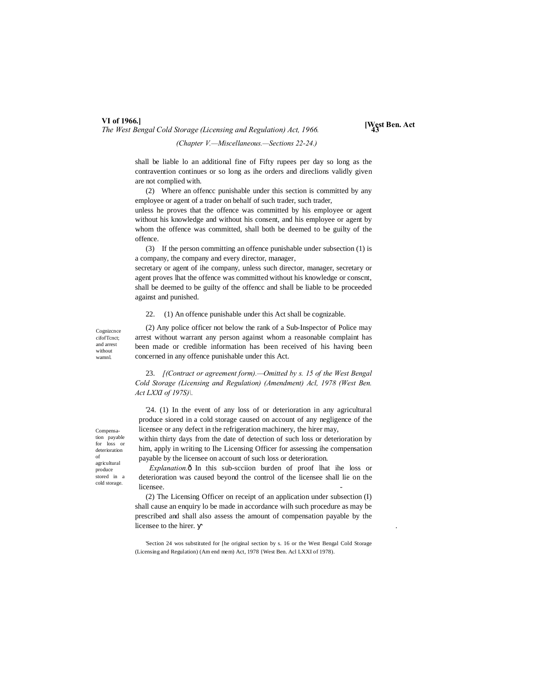# **VI of 1966.]**

*The West Bengal Cold Storage (Licensing and Regulation) Act, 1966.* **43**

**[West Ben. Act**

*(Chapter V.—Miscellaneous.—Sections 22-24.)*

shall be liable lo an additional fine of Fifty rupees per day so long as the contravention continues or so long as ihe orders and direclions validly given are not complied with.

(2) Where an offencc punishable under this section is committed by any employee or agent of a trader on behalf of such trader, such trader,

unless he proves that the offence was committed by his employee or agent without his knowledge and without his consent, and his employee or agent by whom the offence was committed, shall both be deemed to be guilty of the offence.

(3) If the person committing an offence punishable under subsection (1) is a company, the company and every director, manager,

secretary or agent of ihe company, unless such director, manager, secretary or agent proves lhat the offence was committed without his knowledge or conscnt, shall be deemed to be guilty of the offencc and shall be liable to be proceeded against and punished.

22. (1) An offence punishable under this Act shall be cognizable.

Cognizcnce cifofTcnct; and arrest without wamnl.

(2) Any police officer not below the rank of a Sub-Inspector of Police may arrest without warrant any person against whom a reasonable complaint has been made or credible information has been received of his having been concerned in any offence punishable under this Act.

23. *[(Contract or agreement form).—Omitted by s. 15 of the West Bengal Cold Storage (Licensing and Regulation) (Amendment) Acl, 1978 (West Ben. Act LXXI of 197S)\.*

'24. (1) In the event of any loss of or deterioration in any agricultural produce siored in a cold storage caused on account of any negligence of the licensee or any defect in the refrigeration machinery, the hirer may,

within thirty days from the date of detection of such loss or deterioration by him, apply in writing to Ihe Licensing Officer for assessing ihe compensation payable by the licensee on account of such loss or deterioration.

*Explanation.* $\hat{\text{o}}$  In this sub-scciion burden of proof lhat ihe loss or deterioration was caused beyond the control of the licensee shall lie on the licensee.

(2) The Licensing Officer on receipt of an application under subsection (I) shall cause an enquiry lo be made in accordance wilh such procedure as may be prescribed and shall also assess the amount of compensation payable by the licensee to the hirer. .

'Section 24 wos substituted for [he original section by s. 16 or the West Bengal Cold Storage (Licensing and Regulation) (Am end mem) Act, 1978 {West Ben. Acl LXXI of 1978).

Compensation payable for loss or deterioration of agricultural produce stored in a cold storage.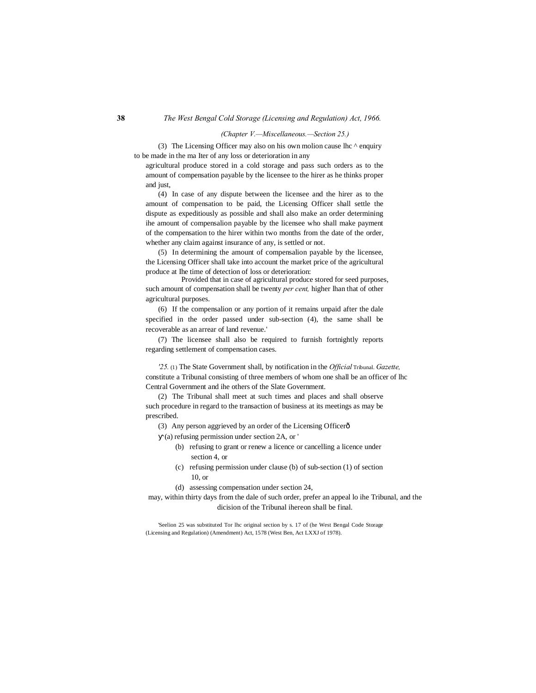#### *(Chapter V.—Miscellaneous.—Section 25.)*

(3) The Licensing Officer may also on his own molion cause lhc  $\wedge$  enquiry to be made in the ma Iter of any loss or deterioration in any

agricultural produce stored in a cold storage and pass such orders as to the amount of compensation payable by the licensee to the hirer as he thinks proper and just,

(4) In case of any dispute between the licensee and the hirer as to the amount of compensation to be paid, the Licensing Officer shall settle the dispute as expeditiously as possible and shall also make an order determining ihe amount of compensalion payable by the licensee who shall make payment of the compensation to the hirer within two months from the date of the order, whether any claim against insurance of any, is settled or not.

(5) In determining the amount of compensalion payable by the licensee, the Licensing Officer shall take into account the market price of the agricultural produce at Ihe time of detection of loss or deterioration:

Provided that in case of agricultural produce stored for seed purposes, such amount of compensation shall be twenty *per cent,* higher lhan that of other agricultural purposes.

(6) If the compensalion or any portion of it remains unpaid after the dale specified in the order passed under sub-section (4), the same shall be recoverable as an arrear of land revenue.'

(7) The licensee shall also be required to furnish fortnightly reports regarding settlement of compensation cases.

*'25.* (1) The State Government shall, by notification in the *Official* Tribunal. *Gazette,* constitute a Tribunal consisting of three members of whom one shall be an officer of lhc Central Government and ihe others of the Slate Government.

(2) The Tribunal shall meet at such times and places and shall observe such procedure in regard to the transaction of business at its meetings as may be prescribed.

- (3) Any person aggrieved by an order of the Licensing Officerô
	- (a) refusing permission under section 2A, or '
		- (b) refusing to grant or renew a licence or cancelling a licence under section 4, or
		- (c) refusing permission under clause (b) of sub-section (1) of section 10, or
		- (d) assessing compensation under section 24,

may, within thirty days from the dale of such order, prefer an appeal lo ihe Tribunal, and the dicision of the Tribunal ihereon shall be final.

'Seelion 25 was substituted Tor lhc original section by s. 17 of (he West Bengal Code Storage (Licensing and Regulation) (Amendment) Act, 1578 (West Ben, Act LXXJ of 1978).